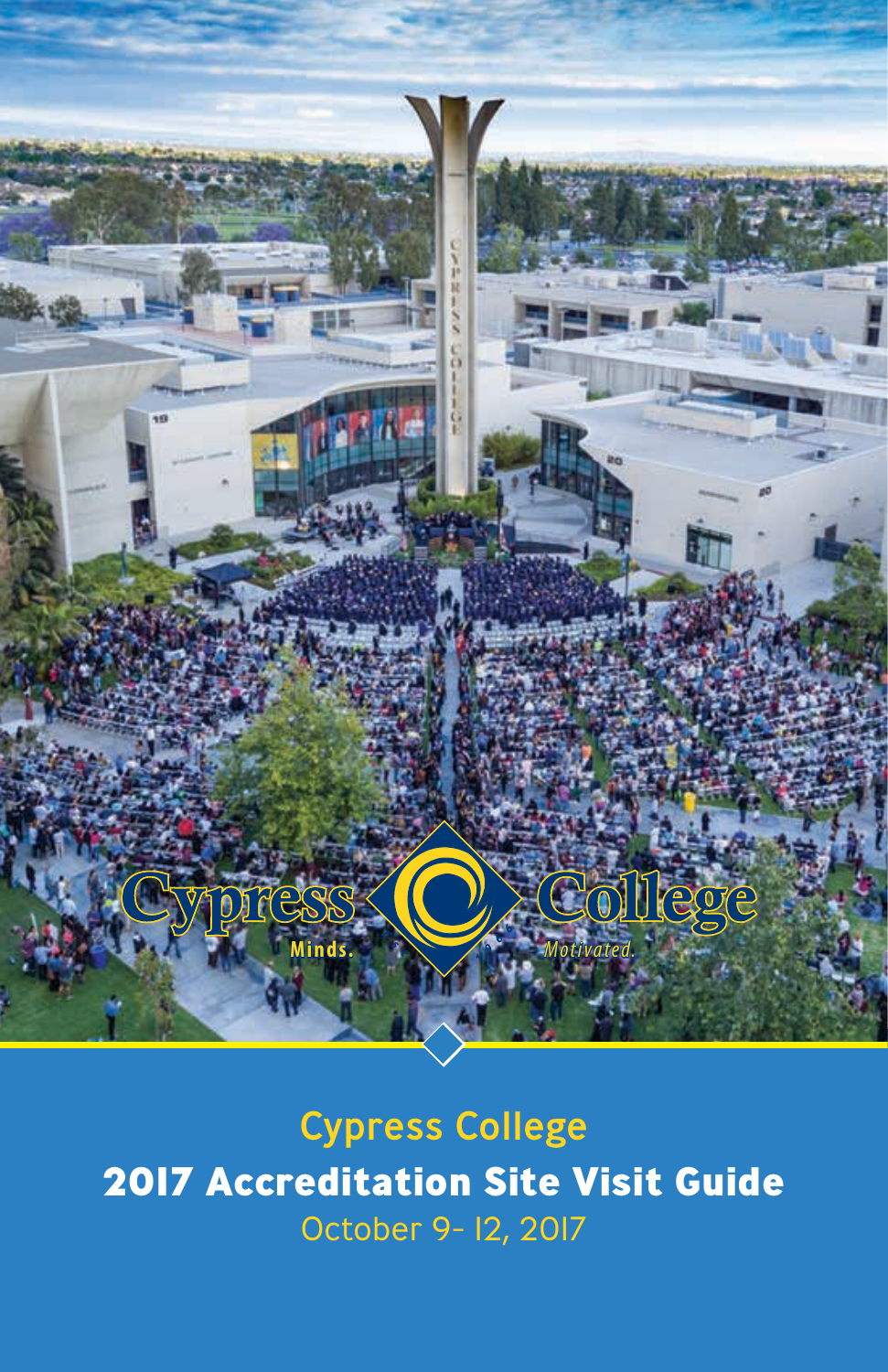

Cypress College **2017 Accreditation Site Visit Guide** October 9- 12, 2017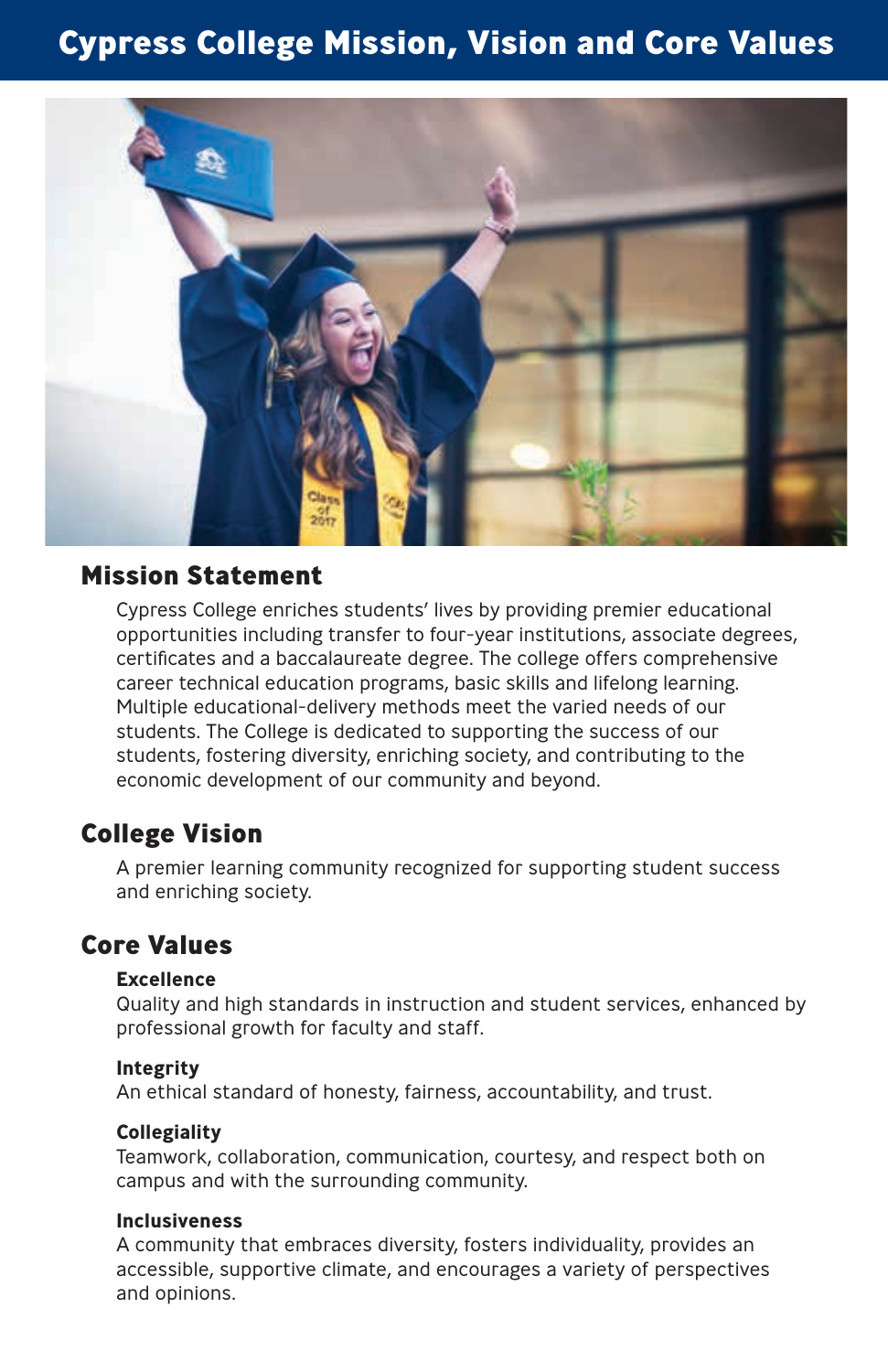## **Cypress College Mission, Vision and Core Values**



#### **Mission Statement**

Cypress College enriches students' lives by providing premier educational opportunities including transfer to four-year institutions, associate degrees, certificates and a baccalaureate degree. The college offers comprehensive career technical education programs, basic skills and lifelong learning. Multiple educational-delivery methods meet the varied needs of our students. The College is dedicated to supporting the success of our students, fostering diversity, enriching society, and contributing to the economic development of our community and beyond.

#### **College Vision**

A premier learning community recognized for supporting student success and enriching society.

#### **Core Values**

#### **Excellence**

Quality and high standards in instruction and student services, enhanced by professional growth for faculty and staff.

#### **Integrity**

An ethical standard of honesty, fairness, accountability, and trust.

#### **Collegiality**

Teamwork, collaboration, communication, courtesy, and respect both on campus and with the surrounding community.

#### **Inclusiveness**

A community that embraces diversity, fosters individuality, provides an accessible, supportive climate, and encourages a variety of perspectives and opinions.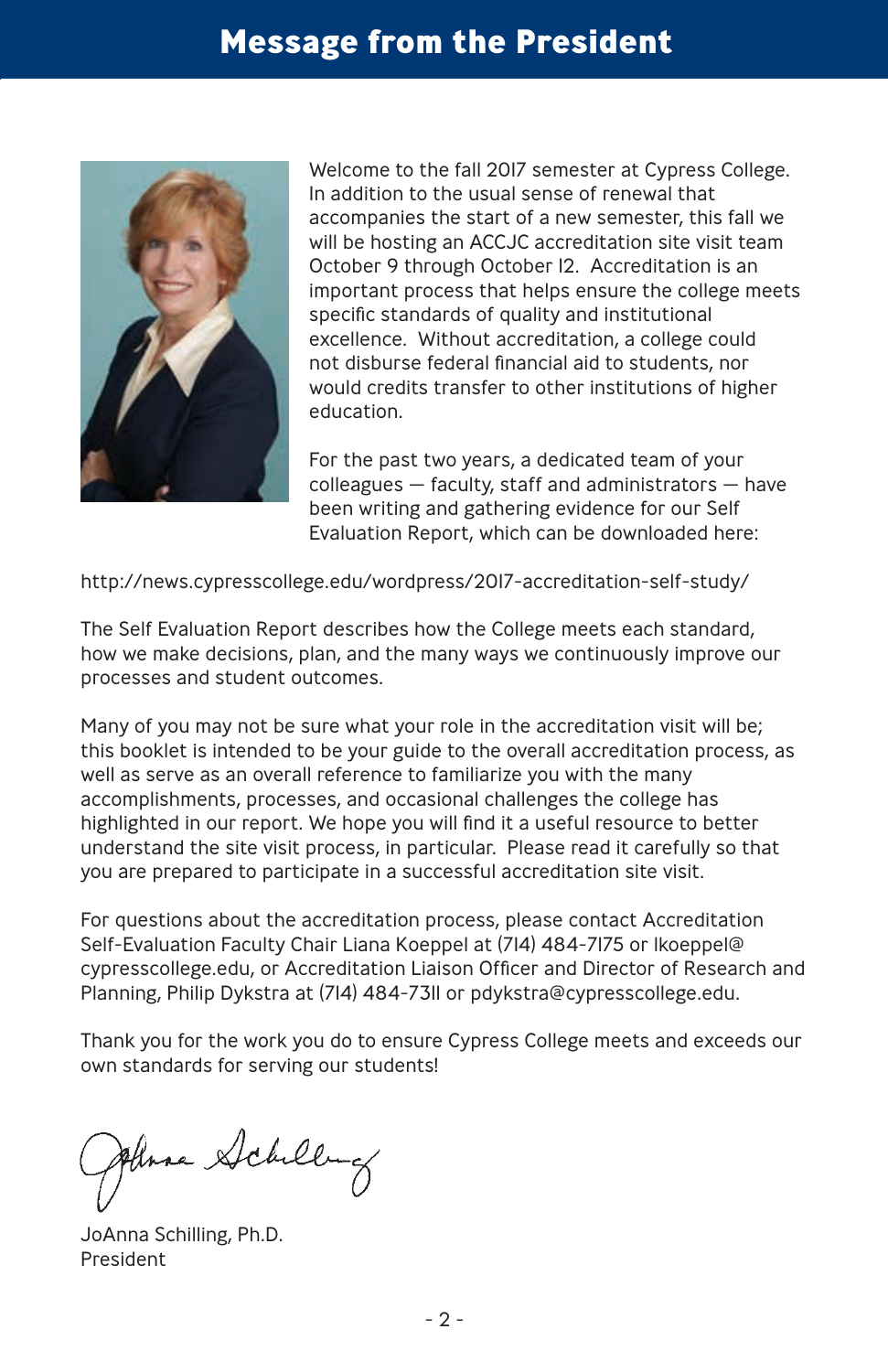## **Message from the President**



Welcome to the fall 2017 semester at Cypress College. In addition to the usual sense of renewal that accompanies the start of a new semester, this fall we will be hosting an ACCJC accreditation site visit team October 9 through October 12. Accreditation is an important process that helps ensure the college meets specific standards of quality and institutional excellence. Without accreditation, a college could not disburse federal financial aid to students, nor would credits transfer to other institutions of higher education.

For the past two years, a dedicated team of your colleagues — faculty, staff and administrators — have been writing and gathering evidence for our Self Evaluation Report, which can be downloaded here:

http://news.cypresscollege.edu/wordpress/2017-accreditation-self-study/

The Self Evaluation Report describes how the College meets each standard, how we make decisions, plan, and the many ways we continuously improve our processes and student outcomes.

Many of you may not be sure what your role in the accreditation visit will be; this booklet is intended to be your guide to the overall accreditation process, as well as serve as an overall reference to familiarize you with the many accomplishments, processes, and occasional challenges the college has highlighted in our report. We hope you will find it a useful resource to better understand the site visit process, in particular. Please read it carefully so that you are prepared to participate in a successful accreditation site visit.

For questions about the accreditation process, please contact Accreditation Self-Evaluation Faculty Chair Liana Koeppel at (714) 484-7175 or lkoeppel@ cypresscollege.edu, or Accreditation Liaison Officer and Director of Research and Planning, Philip Dykstra at (714) 484-7311 or pdykstra@cypresscollege.edu.

Thank you for the work you do to ensure Cypress College meets and exceeds our own standards for serving our students!

Anna Schilling

JoAnna Schilling, Ph.D. President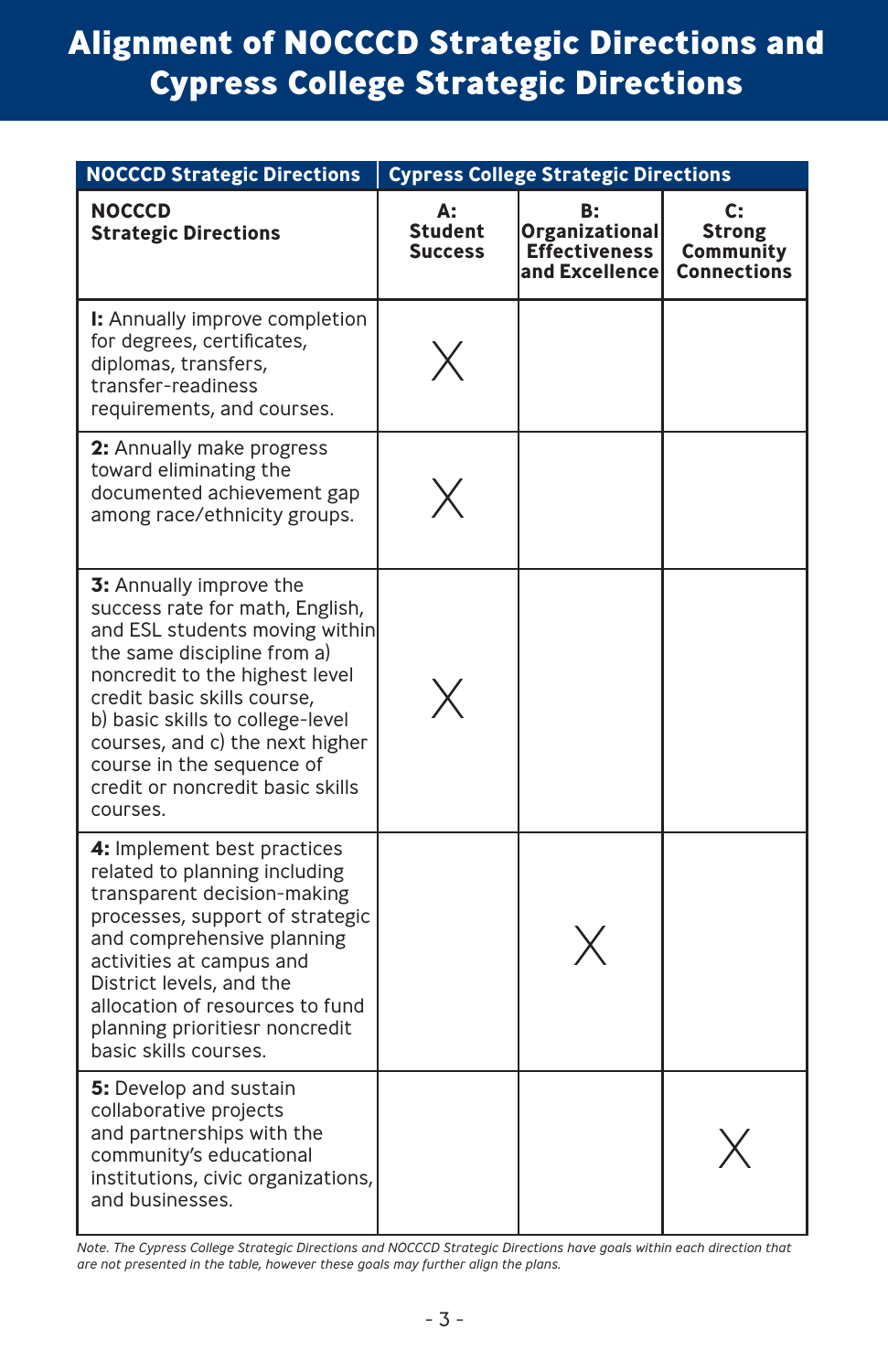# **Alignment of NOCCCD Strategic Directions and Cypress College Strategic Directions**

| <b>NOCCCD Strategic Directions</b>                                                                                                                                                                                                                                                                                                               | <b>Cypress College Strategic Directions</b> |                                                                |                                                 |
|--------------------------------------------------------------------------------------------------------------------------------------------------------------------------------------------------------------------------------------------------------------------------------------------------------------------------------------------------|---------------------------------------------|----------------------------------------------------------------|-------------------------------------------------|
| <b>NOCCCD</b><br><b>Strategic Directions</b>                                                                                                                                                                                                                                                                                                     | А:<br><b>Student</b><br><b>Success</b>      | В:<br>Organizational<br><b>Effectiveness</b><br>and Excellence | C:<br>Strong<br>Community<br><b>Connections</b> |
| I: Annually improve completion<br>for degrees, certificates,<br>diplomas, transfers,<br>transfer-readiness<br>requirements, and courses.                                                                                                                                                                                                         |                                             |                                                                |                                                 |
| <b>2:</b> Annually make progress<br>toward eliminating the<br>documented achievement gap<br>among race/ethnicity groups.                                                                                                                                                                                                                         |                                             |                                                                |                                                 |
| 3: Annually improve the<br>success rate for math, English,<br>and ESL students moving within<br>the same discipline from a)<br>noncredit to the highest level<br>credit basic skills course,<br>b) basic skills to college-level<br>courses, and c) the next higher<br>course in the sequence of<br>credit or noncredit basic skills<br>courses. |                                             |                                                                |                                                 |
| 4: Implement best practices<br>related to planning including<br>transparent decision-making<br>processes, support of strategic<br>and comprehensive planning<br>activities at campus and<br>District levels, and the<br>allocation of resources to fund<br>planning prioritiesr noncredit<br>basic skills courses.                               |                                             |                                                                |                                                 |
| 5: Develop and sustain<br>collaborative projects<br>and partnerships with the<br>community's educational<br>institutions, civic organizations,<br>and businesses.                                                                                                                                                                                |                                             |                                                                |                                                 |

*Note. The Cypress College Strategic Directions and NOCCCD Strategic Directions have goals within each direction that are not presented in the table, however these goals may further align the plans.*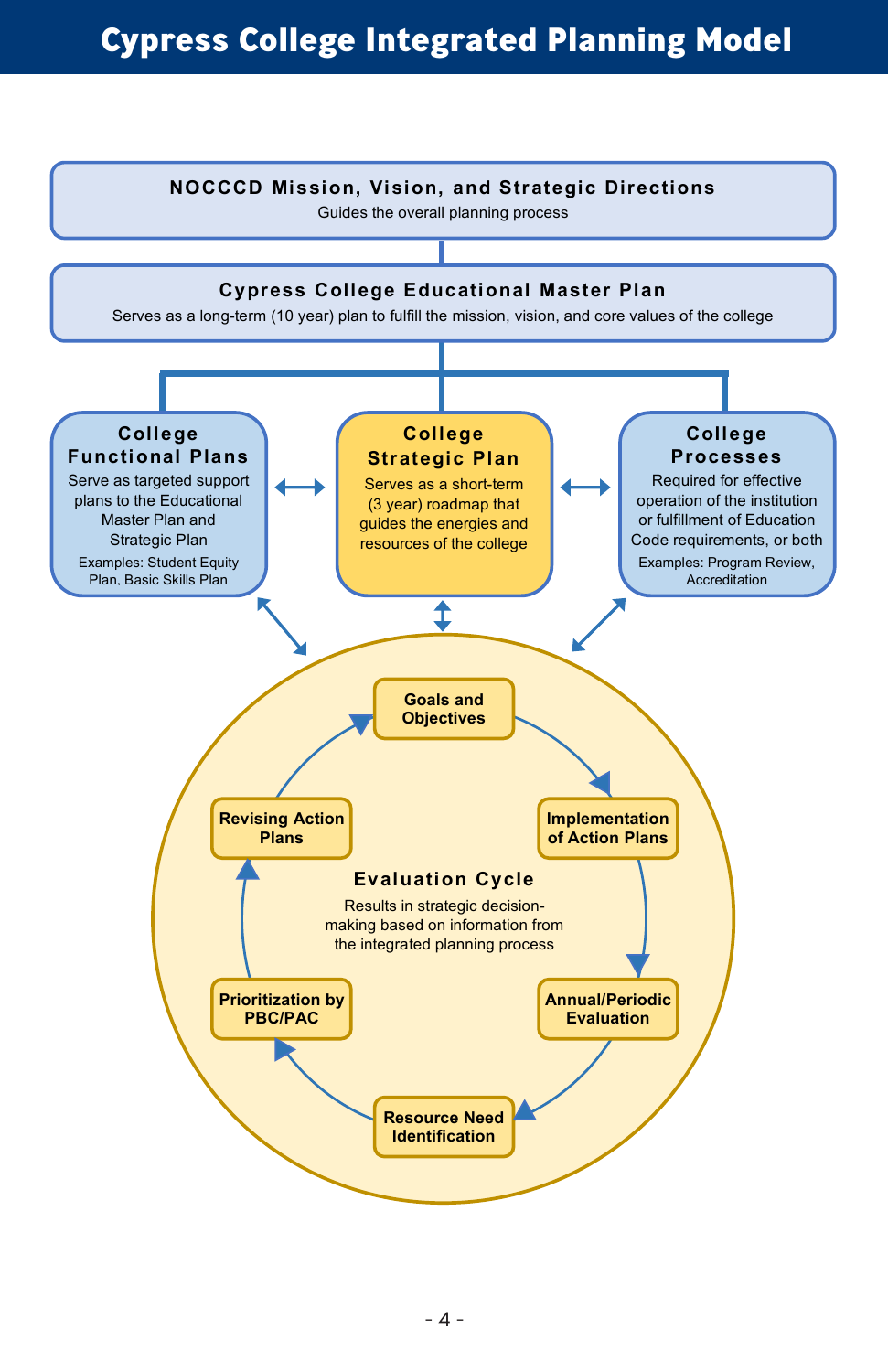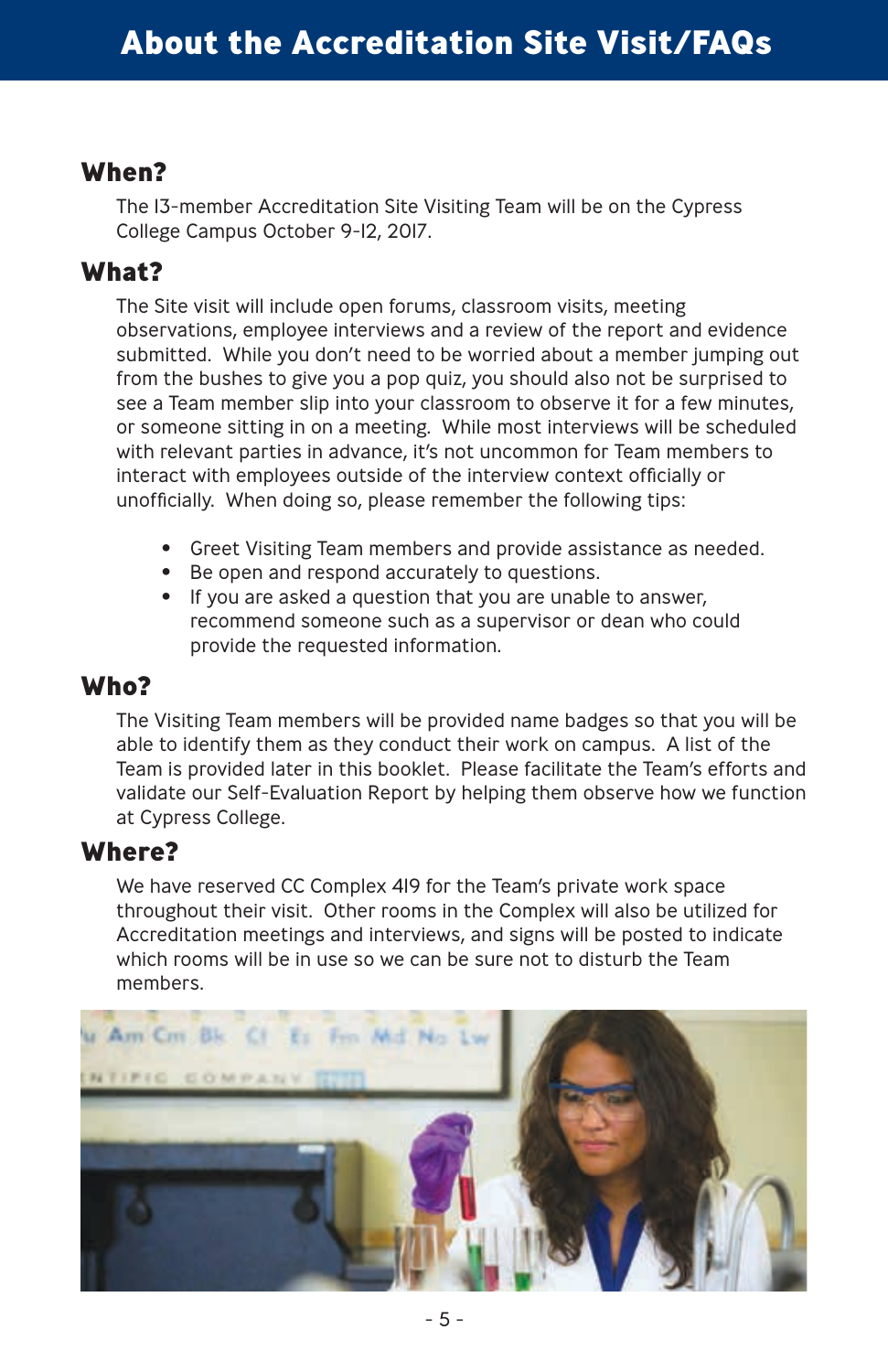#### **When?**

The 13-member Accreditation Site Visiting Team will be on the Cypress College Campus October 9-12, 2017.

#### **What?**

The Site visit will include open forums, classroom visits, meeting observations, employee interviews and a review of the report and evidence submitted. While you don't need to be worried about a member jumping out from the bushes to give you a pop quiz, you should also not be surprised to see a Team member slip into your classroom to observe it for a few minutes, or someone sitting in on a meeting. While most interviews will be scheduled with relevant parties in advance, it's not uncommon for Team members to interact with employees outside of the interview context officially or unofficially. When doing so, please remember the following tips:

- Greet Visiting Team members and provide assistance as needed.
- Be open and respond accurately to questions.
- If you are asked a question that you are unable to answer, recommend someone such as a supervisor or dean who could provide the requested information.

#### **Who?**

The Visiting Team members will be provided name badges so that you will be able to identify them as they conduct their work on campus. A list of the Team is provided later in this booklet. Please facilitate the Team's efforts and validate our Self-Evaluation Report by helping them observe how we function at Cypress College.

#### **Where?**

We have reserved CC Complex 419 for the Team's private work space throughout their visit. Other rooms in the Complex will also be utilized for Accreditation meetings and interviews, and signs will be posted to indicate which rooms will be in use so we can be sure not to disturb the Team members.

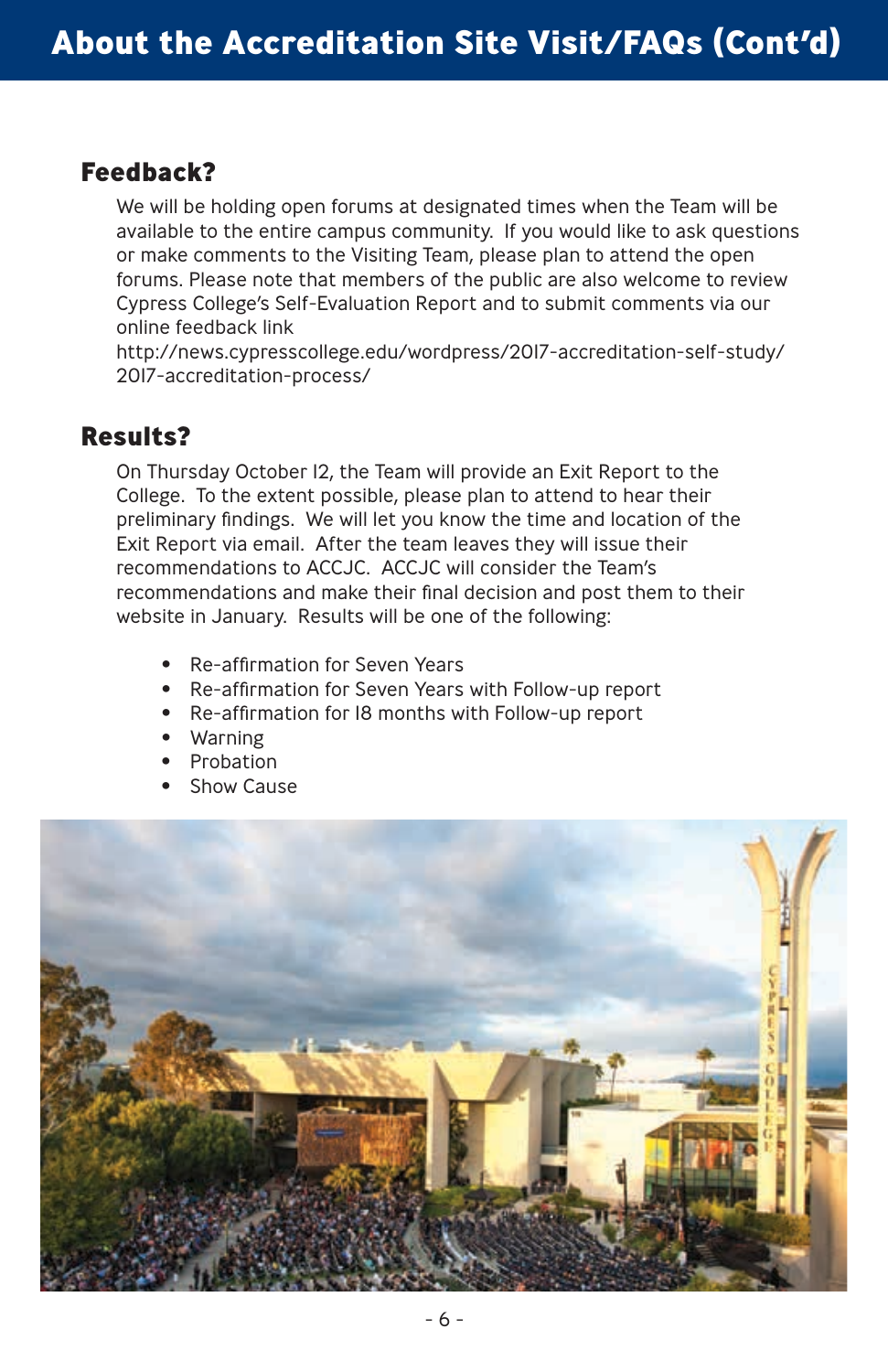#### **Feedback?**

We will be holding open forums at designated times when the Team will be available to the entire campus community. If you would like to ask questions or make comments to the Visiting Team, please plan to attend the open forums. Please note that members of the public are also welcome to review Cypress College's Self-Evaluation Report and to submit comments via our online feedback link

http://news.cypresscollege.edu/wordpress/2017-accreditation-self-study/ 2017-accreditation-process/

#### **Results?**

On Thursday October 12, the Team will provide an Exit Report to the College. To the extent possible, please plan to attend to hear their preliminary findings. We will let you know the time and location of the Exit Report via email. After the team leaves they will issue their recommendations to ACCJC. ACCJC will consider the Team's recommendations and make their final decision and post them to their website in January. Results will be one of the following:

- Re-affirmation for Seven Years
- Re-affirmation for Seven Years with Follow-up report
- Re-affirmation for 18 months with Follow-up report
- Warning
- Probation
- Show Cause

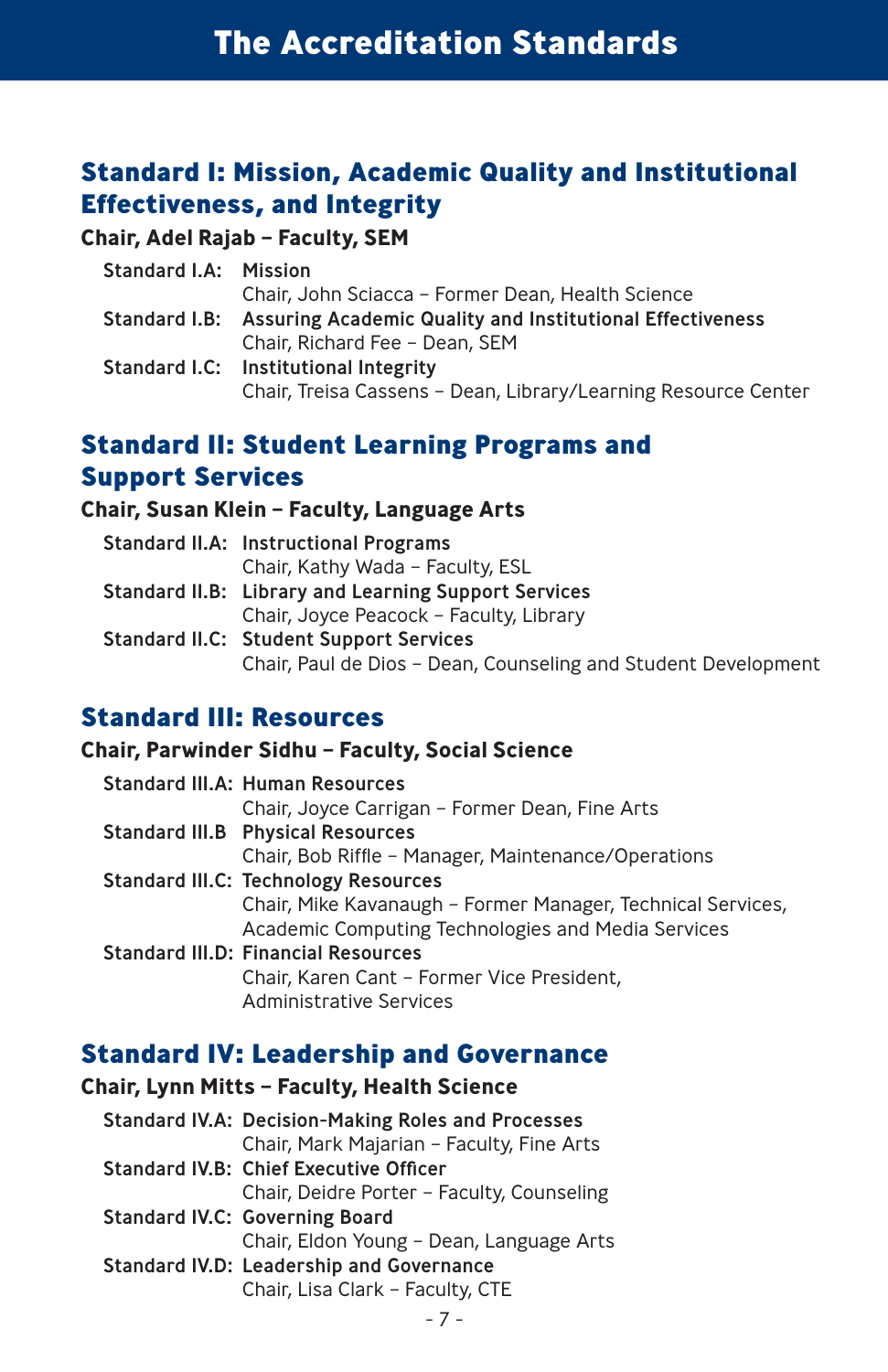## **Standard I: Mission, Academic Quality and Institutional Effectiveness, and Integrity**

#### **Chair, Adel Rajab – Faculty, SEM**

| <b>Standard I.A: Mission</b>                                            |
|-------------------------------------------------------------------------|
| Chair, John Sciacca - Former Dean, Health Science                       |
| Standard I.B: Assuring Academic Quality and Institutional Effectiveness |
| Chair, Richard Fee - Dean, SEM                                          |
| Standard I.C: Institutional Integrity                                   |
| Chair, Treisa Cassens - Dean, Library/Learning Resource Center          |
|                                                                         |

## **Standard II: Student Learning Programs and Support Services**

#### **Chair, Susan Klein – Faculty, Language Arts**

| <b>Standard II.A: Instructional Programs</b>                   |
|----------------------------------------------------------------|
| Chair, Kathy Wada - Faculty, ESL                               |
| <b>Standard II.B: Library and Learning Support Services</b>    |
| Chair, Joyce Peacock - Faculty, Library                        |
| <b>Standard II.C: Student Support Services</b>                 |
| Chair, Paul de Dios - Dean, Counseling and Student Development |

#### **Standard III: Resources**

#### **Chair, Parwinder Sidhu – Faculty, Social Science**

| <b>Standard III.A: Human Resources</b>                      |
|-------------------------------------------------------------|
| Chair, Joyce Carrigan - Former Dean, Fine Arts              |
| <b>Standard III.B Physical Resources</b>                    |
| Chair, Bob Riffle - Manager, Maintenance/Operations         |
| <b>Standard III.C: Technology Resources</b>                 |
| Chair, Mike Kavanaugh - Former Manager, Technical Services, |
| Academic Computing Technologies and Media Services          |
| <b>Standard III.D: Financial Resources</b>                  |
| Chair, Karen Cant - Former Vice President,                  |
| Administrative Services                                     |

#### **Standard IV: Leadership and Governance**

#### **Chair, Lynn Mitts – Faculty, Health Science**

| <b>Standard IV.A: Decision-Making Roles and Processes</b> |
|-----------------------------------------------------------|
| Chair, Mark Majarian - Faculty, Fine Arts                 |
| <b>Standard IV.B: Chief Executive Officer</b>             |
| Chair, Deidre Porter - Faculty, Counseling                |
| <b>Standard IV.C: Governing Board</b>                     |
| Chair, Eldon Young - Dean, Language Arts                  |
| Standard IV.D: Leadership and Governance                  |
| Chair, Lisa Clark - Faculty, CTE                          |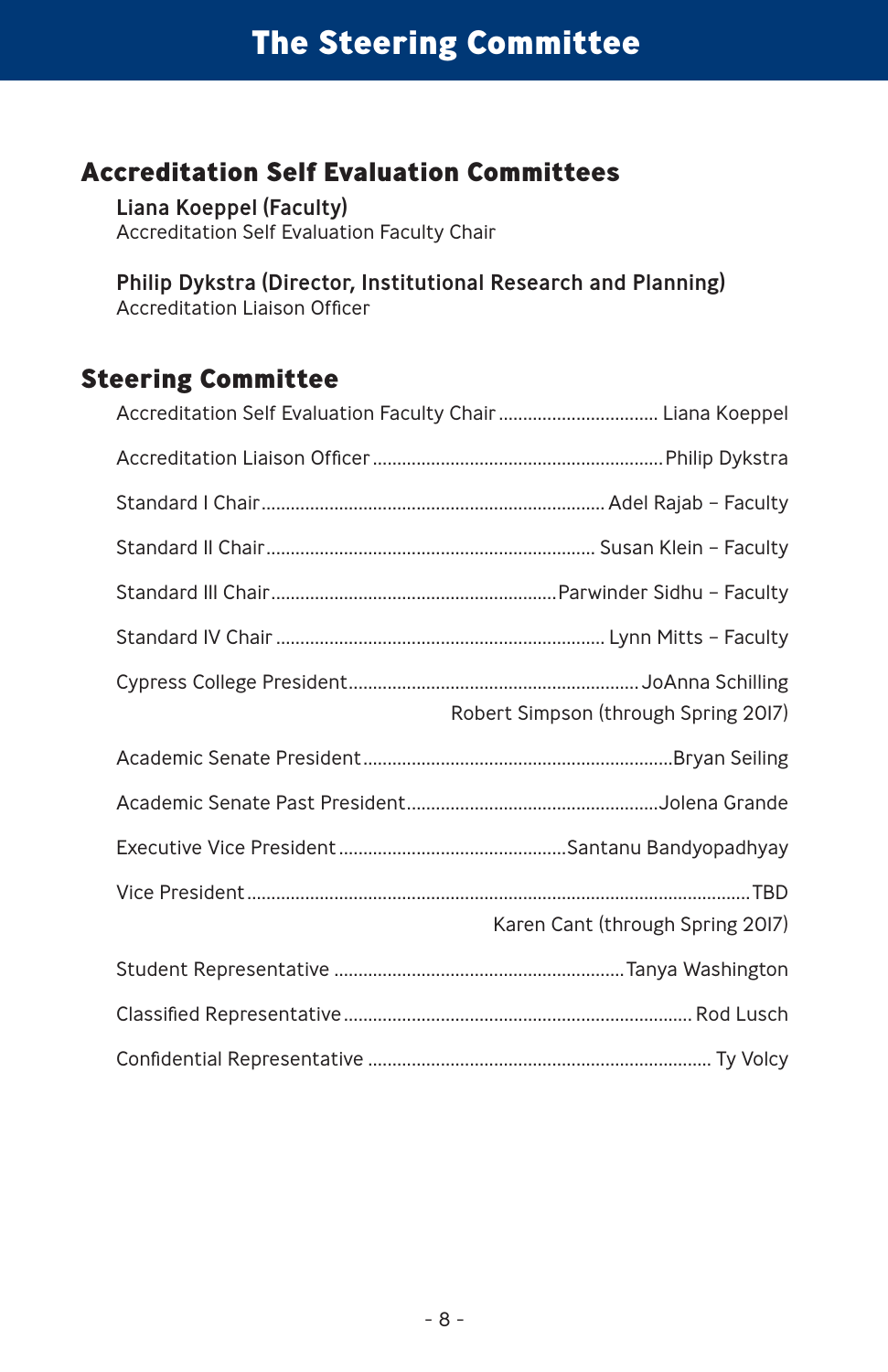## **Accreditation Self Evaluation Committees**

Liana Koeppel (Faculty) Accreditation Self Evaluation Faculty Chair

Philip Dykstra (Director, Institutional Research and Planning) Accreditation Liaison Officer

#### **Steering Committee**

| Robert Simpson (through Spring 2017) |
|--------------------------------------|
|                                      |
|                                      |
|                                      |
| Karen Cant (through Spring 2017)     |
|                                      |
|                                      |
|                                      |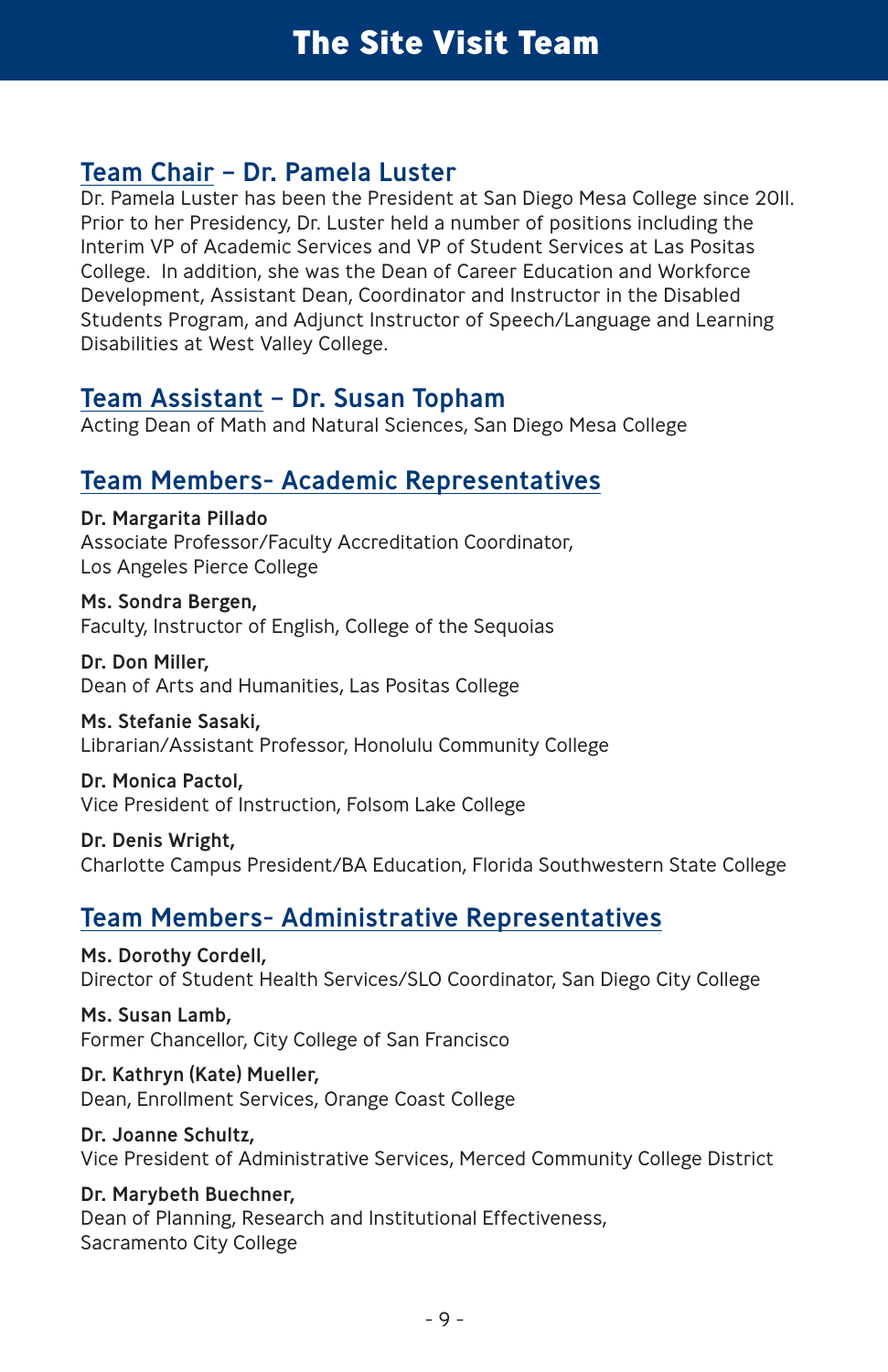#### Team Chair – Dr. Pamela Luster

Dr. Pamela Luster has been the President at San Diego Mesa College since 2011. Prior to her Presidency, Dr. Luster held a number of positions including the Interim VP of Academic Services and VP of Student Services at Las Positas College. In addition, she was the Dean of Career Education and Workforce Development, Assistant Dean, Coordinator and Instructor in the Disabled Students Program, and Adjunct Instructor of Speech/Language and Learning Disabilities at West Valley College.

#### Team Assistant – Dr. Susan Topham

Acting Dean of Math and Natural Sciences, San Diego Mesa College

#### Team Members- Academic Representatives

Dr. Margarita Pillado Associate Professor/Faculty Accreditation Coordinator, Los Angeles Pierce College

Ms. Sondra Bergen, Faculty, Instructor of English, College of the Sequoias

Dr. Don Miller, Dean of Arts and Humanities, Las Positas College

Ms. Stefanie Sasaki,

Librarian/Assistant Professor, Honolulu Community College

Dr. Monica Pactol, Vice President of Instruction, Folsom Lake College

Dr. Denis Wright, Charlotte Campus President/BA Education, Florida Southwestern State College

## Team Members- Administrative Representatives

Ms. Dorothy Cordell, Director of Student Health Services/SLO Coordinator, San Diego City College

Ms. Susan Lamb, Former Chancellor, City College of San Francisco

Dr. Kathryn (Kate) Mueller, Dean, Enrollment Services, Orange Coast College

Dr. Joanne Schultz, Vice President of Administrative Services, Merced Community College District

Dr. Marybeth Buechner, Dean of Planning, Research and Institutional Effectiveness, Sacramento City College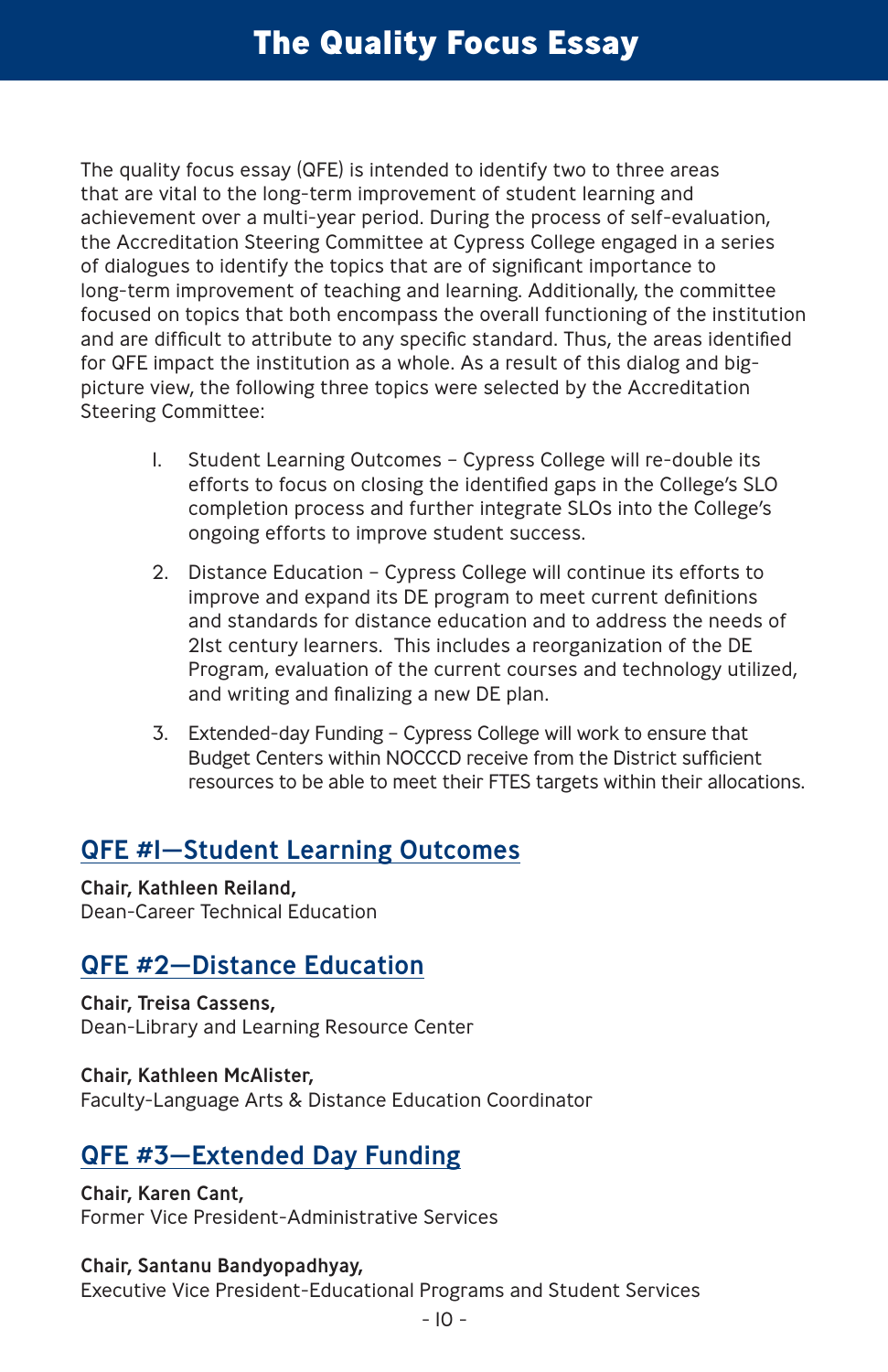## **The Quality Focus Essay**

The quality focus essay (QFE) is intended to identify two to three areas that are vital to the long-term improvement of student learning and achievement over a multi-year period. During the process of self-evaluation, the Accreditation Steering Committee at Cypress College engaged in a series of dialogues to identify the topics that are of significant importance to long-term improvement of teaching and learning. Additionally, the committee focused on topics that both encompass the overall functioning of the institution and are difficult to attribute to any specific standard. Thus, the areas identified for QFE impact the institution as a whole. As a result of this dialog and bigpicture view, the following three topics were selected by the Accreditation Steering Committee:

- 1. Student Learning Outcomes Cypress College will re-double its efforts to focus on closing the identified gaps in the College's SLO completion process and further integrate SLOs into the College's ongoing efforts to improve student success.
- 2. Distance Education Cypress College will continue its efforts to improve and expand its DE program to meet current definitions and standards for distance education and to address the needs of 21st century learners. This includes a reorganization of the DE Program, evaluation of the current courses and technology utilized, and writing and finalizing a new DE plan.
- 3. Extended-day Funding Cypress College will work to ensure that Budget Centers within NOCCCD receive from the District sufficient resources to be able to meet their FTES targets within their allocations.

## QFE #1—Student Learning Outcomes

Chair, Kathleen Reiland, Dean-Career Technical Education

## QFE #2—Distance Education

Chair, Treisa Cassens, Dean-Library and Learning Resource Center

Chair, Kathleen McAlister, Faculty-Language Arts & Distance Education Coordinator

#### QFE #3—Extended Day Funding

Chair, Karen Cant, Former Vice President-Administrative Services

#### Chair, Santanu Bandyopadhyay,

Executive Vice President-Educational Programs and Student Services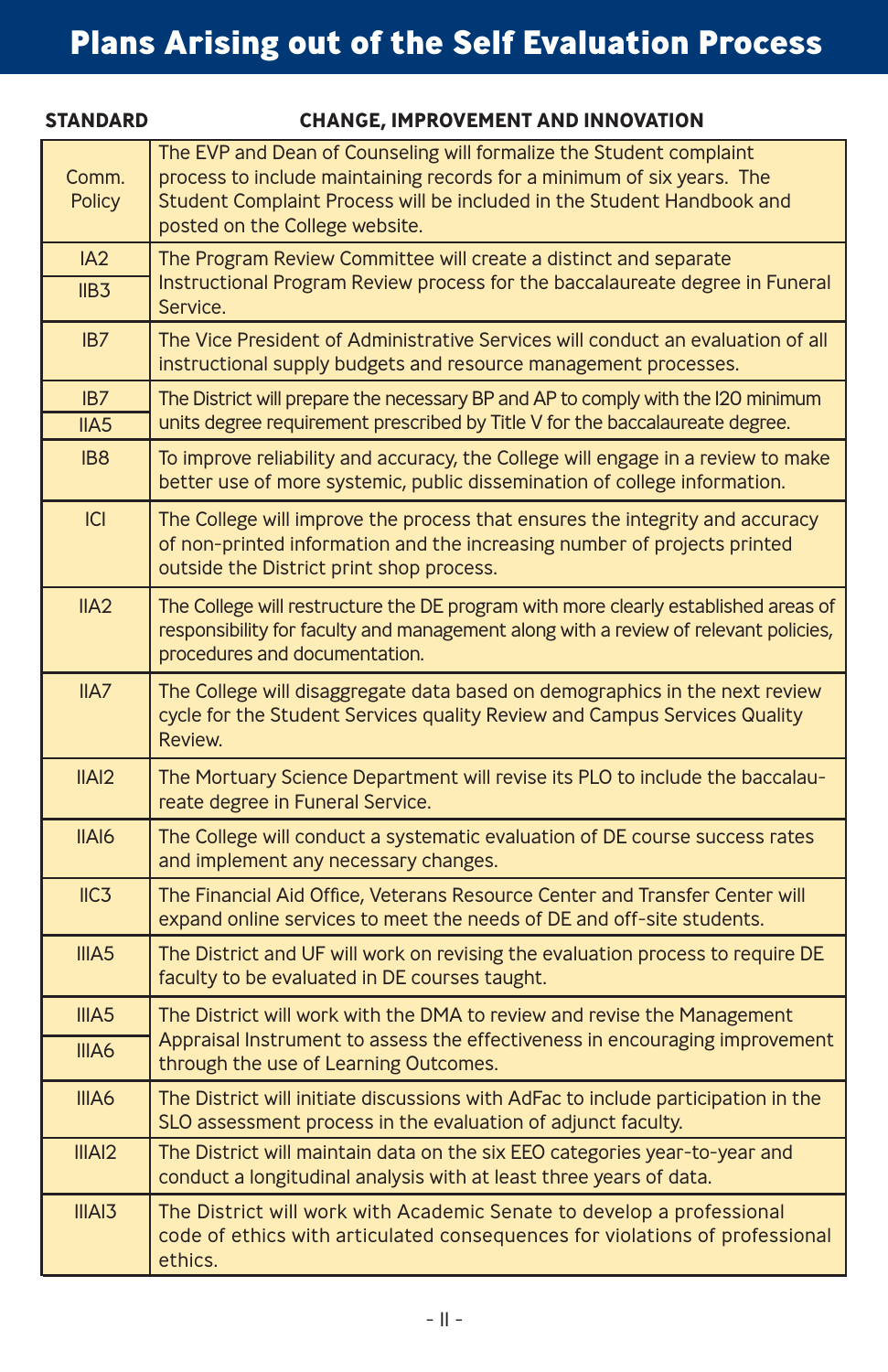| <b>STANDARD</b>    | <b>CHANGE, IMPROVEMENT AND INNOVATION</b>                                                                                                                                                                                                                 |
|--------------------|-----------------------------------------------------------------------------------------------------------------------------------------------------------------------------------------------------------------------------------------------------------|
| Comm.<br>Policy    | The EVP and Dean of Counseling will formalize the Student complaint<br>process to include maintaining records for a minimum of six years. The<br>Student Complaint Process will be included in the Student Handbook and<br>posted on the College website. |
| IA2<br>IIB3        | The Program Review Committee will create a distinct and separate<br>Instructional Program Review process for the baccalaureate degree in Funeral<br>Service.                                                                                              |
| IB7                | The Vice President of Administrative Services will conduct an evaluation of all<br>instructional supply budgets and resource management processes.                                                                                                        |
| IB7<br>IIAS        | The District will prepare the necessary BP and AP to comply with the I20 minimum<br>units degree requirement prescribed by Title V for the baccalaureate degree.                                                                                          |
| IB <sub>8</sub>    | To improve reliability and accuracy, the College will engage in a review to make<br>better use of more systemic, public dissemination of college information.                                                                                             |
| C                  | The College will improve the process that ensures the integrity and accuracy<br>of non-printed information and the increasing number of projects printed<br>outside the District print shop process.                                                      |
| IIA2               | The College will restructure the DE program with more clearly established areas of<br>responsibility for faculty and management along with a review of relevant policies,<br>procedures and documentation.                                                |
| IIAY               | The College will disaggregate data based on demographics in the next review<br>cycle for the Student Services quality Review and Campus Services Quality<br>Review.                                                                                       |
| IIAI2              | The Mortuary Science Department will revise its PLO to include the baccalau-<br>reate degree in Funeral Service.                                                                                                                                          |
| IIAI6              | The College will conduct a systematic evaluation of DE course success rates<br>and implement any necessary changes.                                                                                                                                       |
| IC3                | The Financial Aid Office, Veterans Resource Center and Transfer Center will<br>expand online services to meet the needs of DE and off-site students.                                                                                                      |
| III <sub>45</sub>  | The District and UF will work on revising the evaluation process to require DE<br>faculty to be evaluated in DE courses taught.                                                                                                                           |
| III <sub>45</sub>  | The District will work with the DMA to review and revise the Management                                                                                                                                                                                   |
| IIIA6              | Appraisal Instrument to assess the effectiveness in encouraging improvement<br>through the use of Learning Outcomes.                                                                                                                                      |
| IIIA6              | The District will initiate discussions with AdFac to include participation in the<br>SLO assessment process in the evaluation of adjunct faculty.                                                                                                         |
| IIIAI <sub>2</sub> | The District will maintain data on the six EEO categories year-to-year and<br>conduct a longitudinal analysis with at least three years of data.                                                                                                          |
| IIIAI3             | The District will work with Academic Senate to develop a professional<br>code of ethics with articulated consequences for violations of professional<br>ethics.                                                                                           |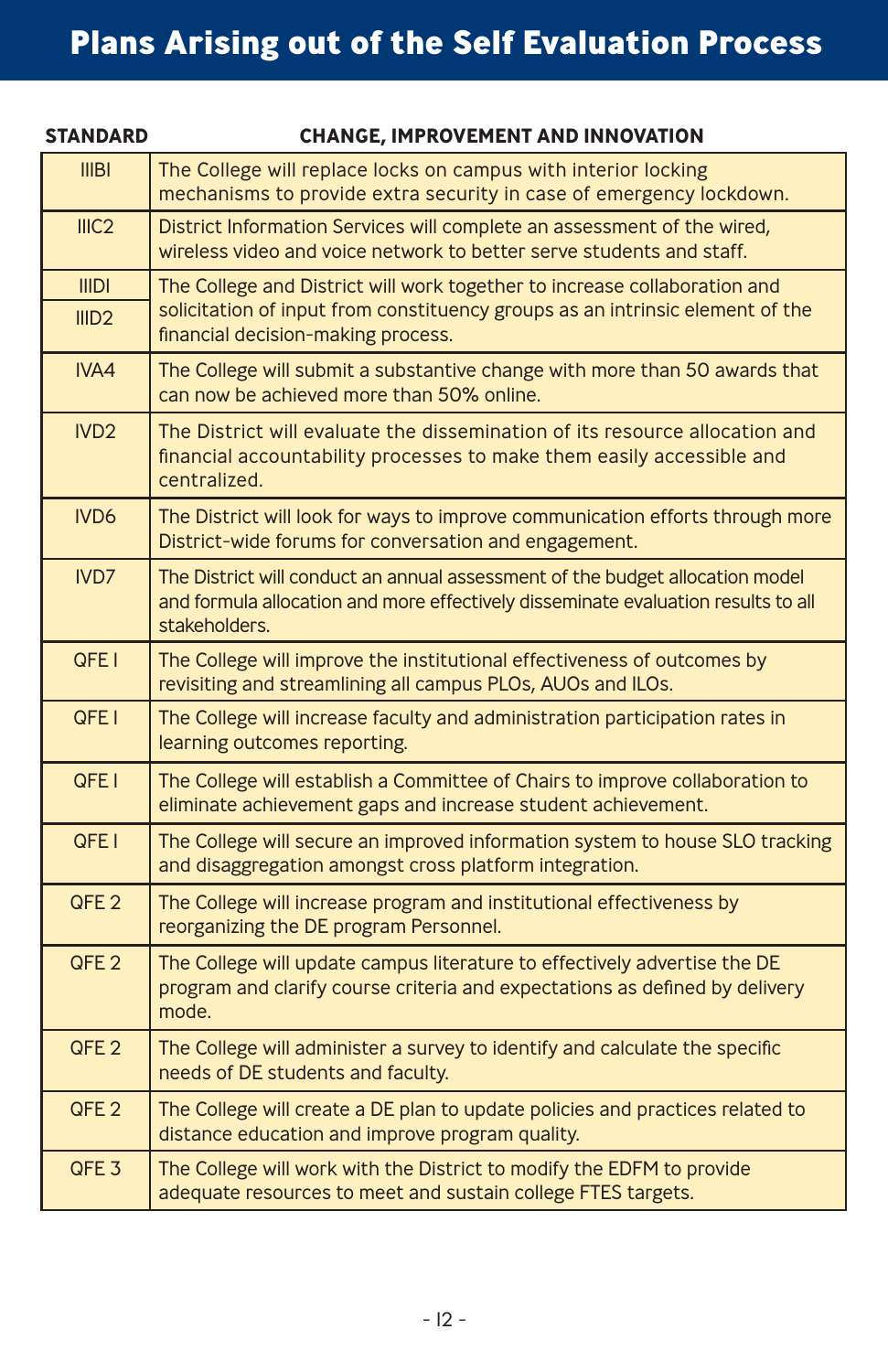# **Plans Arising out of the Self Evaluation Process**

| <b>STANDARD</b>   | <b>CHANGE, IMPROVEMENT AND INNOVATION</b>                                                                                                                                           |
|-------------------|-------------------------------------------------------------------------------------------------------------------------------------------------------------------------------------|
| III <sub>BI</sub> | The College will replace locks on campus with interior locking<br>mechanisms to provide extra security in case of emergency lockdown.                                               |
| III <sub>C2</sub> | District Information Services will complete an assessment of the wired,<br>wireless video and voice network to better serve students and staff.                                     |
| <b>IIIDI</b>      | The College and District will work together to increase collaboration and                                                                                                           |
| III <sub>D2</sub> | solicitation of input from constituency groups as an intrinsic element of the<br>financial decision-making process.                                                                 |
| IVA4              | The College will submit a substantive change with more than 50 awards that<br>can now be achieved more than 50% online.                                                             |
| IVD <sub>2</sub>  | The District will evaluate the dissemination of its resource allocation and<br>financial accountability processes to make them easily accessible and<br>centralized.                |
| IVD <sub>6</sub>  | The District will look for ways to improve communication efforts through more<br>District-wide forums for conversation and engagement.                                              |
| IVD7              | The District will conduct an annual assessment of the budget allocation model<br>and formula allocation and more effectively disseminate evaluation results to all<br>stakeholders. |
| QFE I             | The College will improve the institutional effectiveness of outcomes by<br>revisiting and streamlining all campus PLOs, AUOs and ILOs.                                              |
| QFE <sub>I</sub>  | The College will increase faculty and administration participation rates in<br>learning outcomes reporting.                                                                         |
| QFE <sub>I</sub>  | The College will establish a Committee of Chairs to improve collaboration to<br>eliminate achievement gaps and increase student achievement.                                        |
| QFE I             | The College will secure an improved information system to house SLO tracking<br>and disaggregation amongst cross platform integration.                                              |
| QFE <sub>2</sub>  | The College will increase program and institutional effectiveness by<br>reorganizing the DE program Personnel.                                                                      |
| QFE <sub>2</sub>  | The College will update campus literature to effectively advertise the DE<br>program and clarify course criteria and expectations as defined by delivery<br>mode.                   |
| QFE <sub>2</sub>  | The College will administer a survey to identify and calculate the specific<br>needs of DE students and faculty.                                                                    |
| QFE <sub>2</sub>  | The College will create a DE plan to update policies and practices related to<br>distance education and improve program quality.                                                    |
| QFE <sub>3</sub>  | The College will work with the District to modify the EDFM to provide<br>adequate resources to meet and sustain college FTES targets.                                               |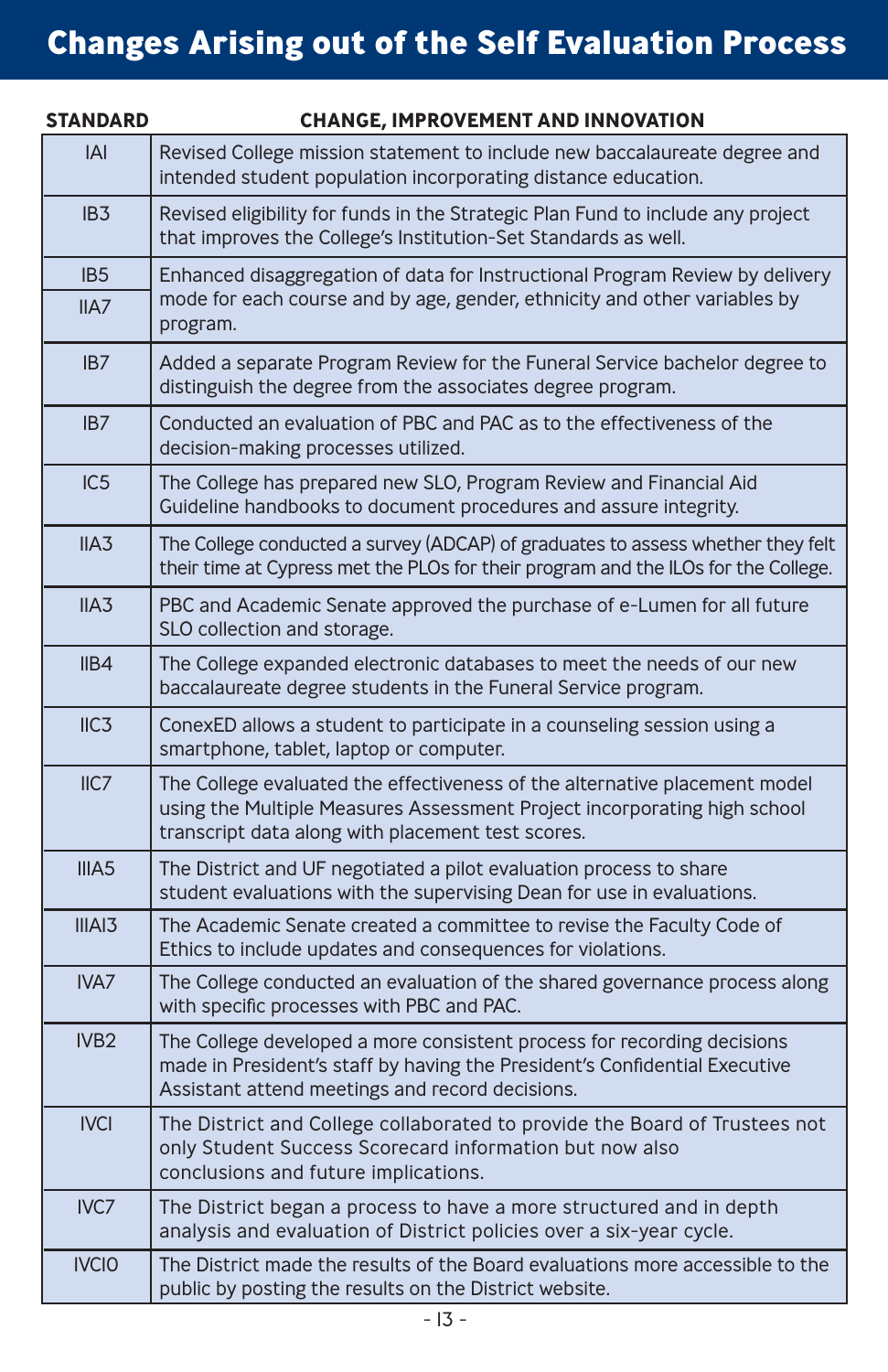# **Changes Arising out of the Self Evaluation Process**

| <b>STANDARD</b>   | <b>CHANGE, IMPROVEMENT AND INNOVATION</b>                                                                                                                                                                   |  |  |
|-------------------|-------------------------------------------------------------------------------------------------------------------------------------------------------------------------------------------------------------|--|--|
| <b>IAI</b>        | Revised College mission statement to include new baccalaureate degree and<br>intended student population incorporating distance education.                                                                  |  |  |
| IB <sub>3</sub>   | Revised eligibility for funds in the Strategic Plan Fund to include any project<br>that improves the College's Institution-Set Standards as well.                                                           |  |  |
| IB <sub>5</sub>   | Enhanced disaggregation of data for Instructional Program Review by delivery                                                                                                                                |  |  |
| II A7             | mode for each course and by age, gender, ethnicity and other variables by<br>program.                                                                                                                       |  |  |
| IB <sub>7</sub>   | Added a separate Program Review for the Funeral Service bachelor degree to<br>distinguish the degree from the associates degree program.                                                                    |  |  |
| IB <sub>7</sub>   | Conducted an evaluation of PBC and PAC as to the effectiveness of the<br>decision-making processes utilized.                                                                                                |  |  |
| IC5               | The College has prepared new SLO, Program Review and Financial Aid<br>Guideline handbooks to document procedures and assure integrity.                                                                      |  |  |
| IIA3              | The College conducted a survey (ADCAP) of graduates to assess whether they felt<br>their time at Cypress met the PLOs for their program and the ILOs for the College.                                       |  |  |
| IIA3              | PBC and Academic Senate approved the purchase of e-Lumen for all future<br>SLO collection and storage.                                                                                                      |  |  |
| IIB4              | The College expanded electronic databases to meet the needs of our new<br>baccalaureate degree students in the Funeral Service program.                                                                     |  |  |
| IIC3              | ConexED allows a student to participate in a counseling session using a<br>smartphone, tablet, laptop or computer.                                                                                          |  |  |
| IIC7              | The College evaluated the effectiveness of the alternative placement model<br>using the Multiple Measures Assessment Project incorporating high school<br>transcript data along with placement test scores. |  |  |
| IIIA <sub>5</sub> | The District and UF negotiated a pilot evaluation process to share<br>student evaluations with the supervising Dean for use in evaluations.                                                                 |  |  |
| IIIAI3            | The Academic Senate created a committee to revise the Faculty Code of<br>Ethics to include updates and consequences for violations.                                                                         |  |  |
| IVA7              | The College conducted an evaluation of the shared governance process along<br>with specific processes with PBC and PAC.                                                                                     |  |  |
| IVB <sub>2</sub>  | The College developed a more consistent process for recording decisions<br>made in President's staff by having the President's Confidential Executive<br>Assistant attend meetings and record decisions.    |  |  |
| <b>IVCI</b>       | The District and College collaborated to provide the Board of Trustees not<br>only Student Success Scorecard information but now also<br>conclusions and future implications.                               |  |  |
| IVC7              | The District began a process to have a more structured and in depth<br>analysis and evaluation of District policies over a six-year cycle.                                                                  |  |  |
| <b>IVCIO</b>      | The District made the results of the Board evaluations more accessible to the<br>public by posting the results on the District website.                                                                     |  |  |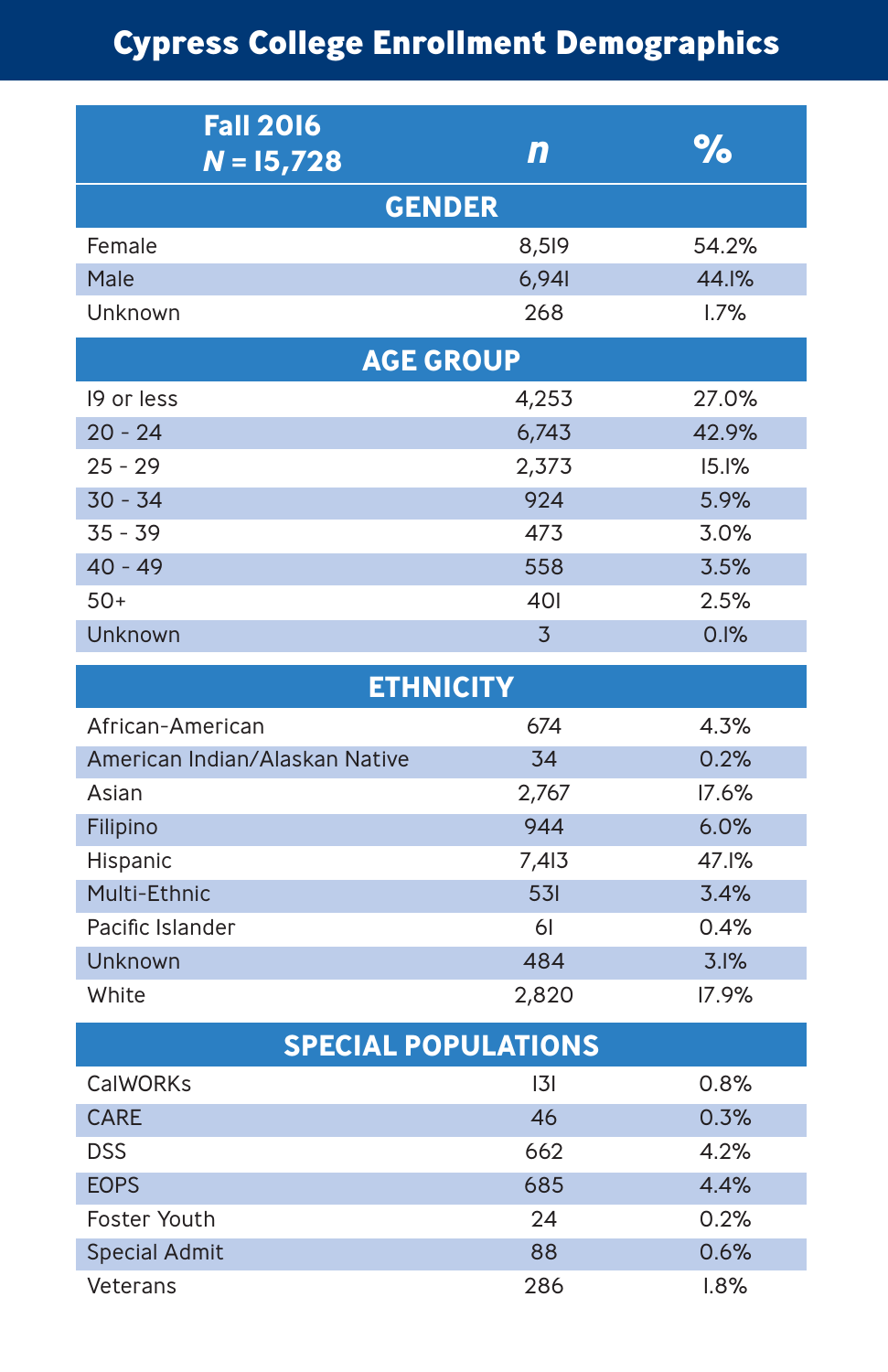# **Cypress College Enrollment Demographics**

| <b>Fall 2016</b><br>$N = 15,728$ | n              | %     |  |
|----------------------------------|----------------|-------|--|
| <b>GENDER</b>                    |                |       |  |
| Female                           | 8,519          | 54.2% |  |
| Male                             | 6,941          | 44.1% |  |
| Unknown                          | 268            | 1.7%  |  |
| <b>AGE GROUP</b>                 |                |       |  |
| 19 or less                       | 4,253          | 27.0% |  |
| $20 - 24$                        | 6,743          | 42.9% |  |
| $25 - 29$                        | 2,373          | 15.1% |  |
| $30 - 34$                        | 924            | 5.9%  |  |
| $35 - 39$                        | 473            | 3.0%  |  |
| $40 - 49$                        | 558            | 3.5%  |  |
| $50+$                            | 401            | 2.5%  |  |
| Unknown                          | $\overline{3}$ | 0.1%  |  |
| <b>ETHNICITY</b>                 |                |       |  |
| African-American                 | 674            | 4.3%  |  |
| American Indian/Alaskan Native   | 34             | 0.2%  |  |
| Asian                            | 2,767          | 17.6% |  |
| Filipino                         | 944            | 6.0%  |  |
| Hispanic                         | 7,413          | 47.1% |  |
| Multi-Ethnic                     | 531            | 3.4%  |  |
| Pacific Islander                 | 61             | 0.4%  |  |
| Unknown                          | 484            | 3.1%  |  |
| White                            | 2,820          | 17.9% |  |
| <b>SPECIAL POPULATIONS</b>       |                |       |  |
| CalWORKs                         | 3              | 0.8%  |  |
| CARE                             | 46             | 0.3%  |  |
| <b>DSS</b>                       | 662            | 4.2%  |  |
| <b>EOPS</b>                      | 685            | 4.4%  |  |
| Foster Youth                     | 24             | 0.2%  |  |
| <b>Special Admit</b>             | 88             | 0.6%  |  |
| Veterans                         | 286            | 1.8%  |  |